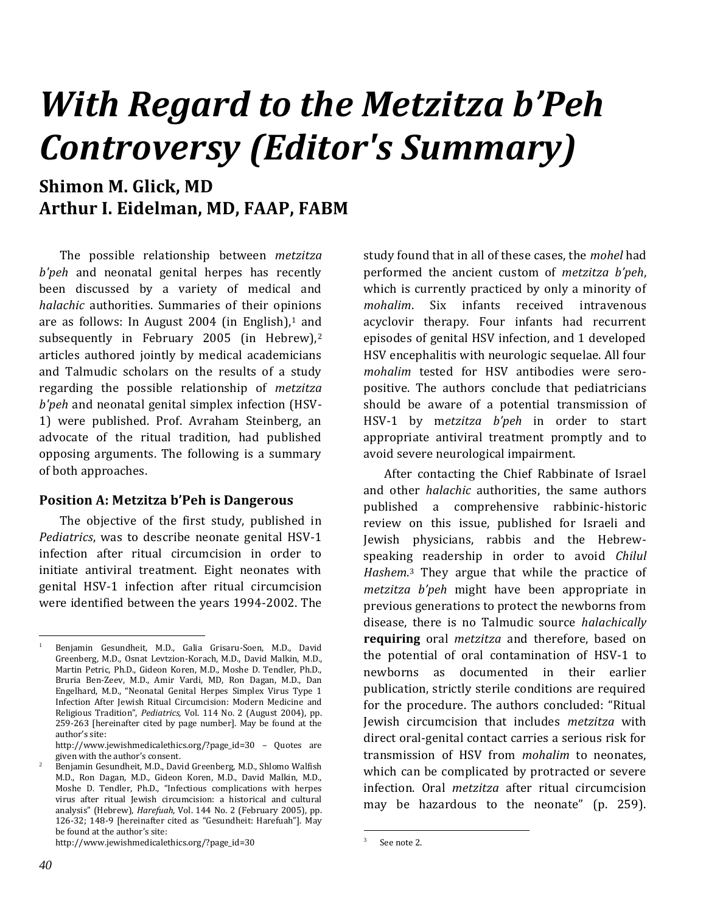# *With Regard to the Metzitza b'Peh Controversy (Editor's Summary)*

### **Shimon M. Glick, MD Arthur I. Eidelman, MD, FAAP, FABM**

The possible relationship between *metzitza b'peh* and neonatal genital herpes has recently been discussed by a variety of medical and *halachic* authorities. Summaries of their opinions are as follows: In August 2004 (in English). $1$  and subsequently in February 2005 (in Hebrew),<sup>2</sup> articles authored jointly by medical academicians and Talmudic scholars on the results of a study regarding the possible relationship of *metzitza b'peh* and neonatal genital simplex infection (HSV-1) were published. Prof. Avraham Steinberg, an advocate of the ritual tradition, had published opposing arguments. The following is a summary of both approaches.

#### **Position A: Metzitza b'Peh is Dangerous**

The objective of the first study, published in *Pediatrics*, was to describe neonate genital HSV-1 infection after ritual circumcision in order to initiate antiviral treatment. Eight neonates with genital HSV-1 infection after ritual circumcision were identified between the years 1994-2002. The

http://www.jewishmedicalethics.org/?page\_id=30

study found that in all of these cases, the *mohel* had performed the ancient custom of *metzitza b'peh*, which is currently practiced by only a minority of *mohalim*. Six infants received intravenous acyclovir therapy. Four infants had recurrent episodes of genital HSV infection, and 1 developed HSV encephalitis with neurologic sequelae. All four *mohalim* tested for HSV antibodies were seropositive. The authors conclude that pediatricians should be aware of a potential transmission of HSV-1 by m*etzitza b'peh* in order to start appropriate antiviral treatment promptly and to avoid severe neurological impairment.

After contacting the Chief Rabbinate of Israel and other *halachic* authorities, the same authors published a comprehensive rabbinic-historic review on this issue, published for Israeli and Jewish physicians, rabbis and the Hebrewspeaking readership in order to avoid *Chilul Hashem*. <sup>3</sup> They argue that while the practice of *metzitza b'peh* might have been appropriate in previous generations to protect the newborns from disease, there is no Talmudic source *halachically*  **requiring** oral *metzitza* and therefore, based on the potential of oral contamination of HSV-1 to newborns as documented in their earlier publication, strictly sterile conditions are required for the procedure. The authors concluded: "Ritual Jewish circumcision that includes *metzitza* with direct oral-genital contact carries a serious risk for transmission of HSV from *mohalim* to neonates, which can be complicated by protracted or severe infection. Oral *metzitza* after ritual circumcision may be hazardous to the neonate" (p. 259).

<sup>1</sup> Benjamin Gesundheit, M.D., Galia Grisaru-Soen, M.D., David Greenberg, M.D., Osnat Levtzion-Korach, M.D., David Malkin, M.D., Martin Petric, Ph.D., Gideon Koren, M.D., Moshe D. Tendler, Ph.D., Bruria Ben-Zeev, M.D., Amir Vardi, MD, Ron Dagan, M.D., Dan Engelhard, M.D., "Neonatal Genital Herpes Simplex Virus Type 1 Infection After Jewish Ritual Circumcision: Modern Medicine and Religious Tradition", *Pediatrics*, Vol. 114 No. 2 (August 2004), pp. 259-263 [hereinafter cited by page number]. May be found at the author's site:

http://www.jewishmedicalethics.org/?page\_id=30 – Quotes are given with the author's consent.

<sup>2</sup> Benjamin Gesundheit, M.D., David Greenberg, M.D., Shlomo Walfish M.D., Ron Dagan, M.D., Gideon Koren, M.D., David Malkin, M.D., Moshe D. Tendler, Ph.D., "Infectious complications with herpes virus after ritual Jewish circumcision: a historical and cultural analysis" (Hebrew), *Harefuah*, Vol. 144 No. 2 (February 2005), pp. 126-32; 148-9 [hereinafter cited as "Gesundheit: Harefuah"]. May be found at the author's site:

<sup>3</sup> See note 2.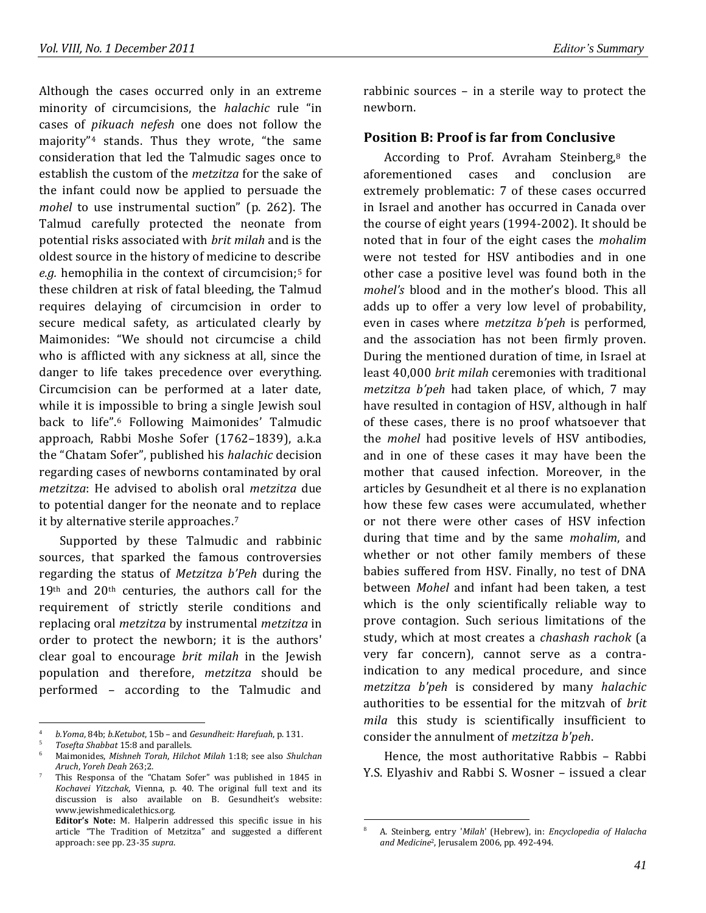Although the cases occurred only in an extreme minority of circumcisions, the *halachic* rule "in cases of *pikuach nefesh* one does not follow the majority"<sup>4</sup> stands. Thus they wrote, "the same consideration that led the Talmudic sages once to establish the custom of the *metzitza* for the sake of the infant could now be applied to persuade the *mohel* to use instrumental suction" (p. 262). The Talmud carefully protected the neonate from potential risks associated with *brit milah* and is the oldest source in the history of medicine to describe e.g. hemophilia in the context of circumcision;<sup>5</sup> for these children at risk of fatal bleeding, the Talmud requires delaying of circumcision in order to secure medical safety, as articulated clearly by Maimonides: "We should not circumcise a child who is afflicted with any sickness at all, since the danger to life takes precedence over everything. Circumcision can be performed at a later date, while it is impossible to bring a single Jewish soul back to life".<sup>6</sup> Following Maimonides' Talmudic approach, Rabbi Moshe Sofer (1762–1839), a.k.a the "Chatam Sofer", published his *halachic* decision regarding cases of newborns contaminated by oral *metzitza*: He advised to abolish oral *metzitza* due to potential danger for the neonate and to replace it by alternative sterile approaches.<sup>7</sup>

Supported by these Talmudic and rabbinic sources, that sparked the famous controversies regarding the status of *Metzitza b'Peh* during the 19th and 20th centuries*,* the authors call for the requirement of strictly sterile conditions and replacing oral *metzitza* by instrumental *metzitza* in order to protect the newborn; it is the authors' clear goal to encourage *brit milah* in the Jewish population and therefore, *metzitza* should be performed – according to the Talmudic and

rabbinic sources – in a sterile way to protect the newborn.

#### **Position B: Proof is far from Conclusive**

According to Prof. Avraham Steinberg.<sup>8</sup> the aforementioned cases and conclusion are extremely problematic: 7 of these cases occurred in Israel and another has occurred in Canada over the course of eight years (1994-2002). It should be noted that in four of the eight cases the *mohalim* were not tested for HSV antibodies and in one other case a positive level was found both in the *mohel's* blood and in the mother's blood. This all adds up to offer a very low level of probability, even in cases where *metzitza b'peh* is performed, and the association has not been firmly proven. During the mentioned duration of time, in Israel at least 40,000 *brit milah* ceremonies with traditional *metzitza b'peh* had taken place, of which, 7 may have resulted in contagion of HSV, although in half of these cases, there is no proof whatsoever that the *mohel* had positive levels of HSV antibodies, and in one of these cases it may have been the mother that caused infection. Moreover, in the articles by Gesundheit et al there is no explanation how these few cases were accumulated, whether or not there were other cases of HSV infection during that time and by the same *mohalim*, and whether or not other family members of these babies suffered from HSV. Finally, no test of DNA between *Mohel* and infant had been taken, a test which is the only scientifically reliable way to prove contagion. Such serious limitations of the study, which at most creates a *chashash rachok* (a very far concern), cannot serve as a contraindication to any medical procedure, and since *metzitza b'peh* is considered by many *halachic* authorities to be essential for the mitzvah of *brit mila* this study is scientifically insufficient to consider the annulment of *metzitza b'peh*.

Hence, the most authoritative Rabbis – Rabbi Y.S. Elyashiv and Rabbi S. Wosner – issued a clear

<sup>4</sup> *b.Yoma*, 84b; *b.Ketubot*, 15b – and *Gesundheit: Harefuah*, p. 131.

<sup>5</sup> *Tosefta Shabbat* 15:8 and parallels.

<sup>6</sup> Maimonides, *Mishneh Torah*, *Hilchot Milah* 1:18; see also *Shulchan Aruch*, *Yoreh Deah* 263;2.

<sup>7</sup> This Responsa of the "Chatam Sofer" was published in 1845 in *Kochavei Yitzchak*, Vienna, p. 40. The original full text and its discussion is also available on B. Gesundheit's website: www.jewishmedicalethics.org.

**Editor's Note:** M. Halperin addressed this specific issue in his article "The Tradition of Metzitza" and suggested a different approach: see pp. 23-35 *supra*.

<sup>8</sup> A. Steinberg, entry '*Milah*' (Hebrew), in: *Encyclopedia of Halacha and Medicine*2, Jerusalem 2006, pp. 492-494.